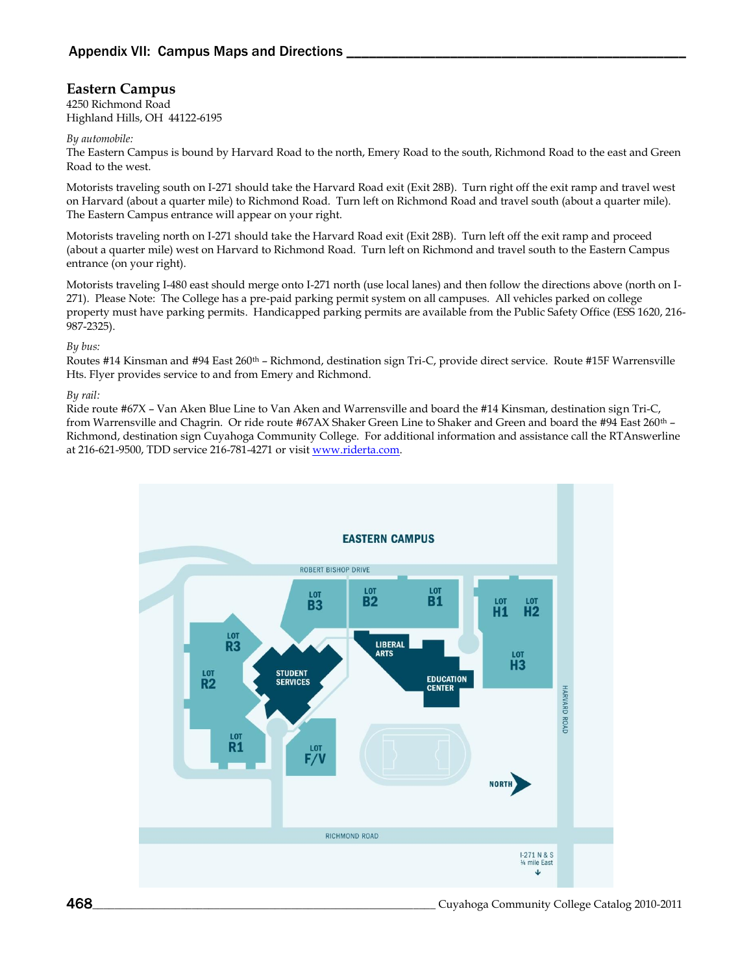## **Eastern Campus**

4250 Richmond Road Highland Hills, OH 44122-6195

#### *By automobile:*

The Eastern Campus is bound by Harvard Road to the north, Emery Road to the south, Richmond Road to the east and Green Road to the west.

Motorists traveling south on I-271 should take the Harvard Road exit (Exit 28B). Turn right off the exit ramp and travel west on Harvard (about a quarter mile) to Richmond Road. Turn left on Richmond Road and travel south (about a quarter mile). The Eastern Campus entrance will appear on your right.

Motorists traveling north on I-271 should take the Harvard Road exit (Exit 28B). Turn left off the exit ramp and proceed (about a quarter mile) west on Harvard to Richmond Road. Turn left on Richmond and travel south to the Eastern Campus entrance (on your right).

Motorists traveling I-480 east should merge onto I-271 north (use local lanes) and then follow the directions above (north on I-271). Please Note: The College has a pre-paid parking permit system on all campuses. All vehicles parked on college property must have parking permits. Handicapped parking permits are available from the Public Safety Office (ESS 1620, 216- 987-2325).

#### *By bus:*

Routes #14 Kinsman and #94 East 260th – Richmond, destination sign Tri-C, provide direct service. Route #15F Warrensville Hts. Flyer provides service to and from Emery and Richmond.

#### *By rail:*

Ride route #67X – Van Aken Blue Line to Van Aken and Warrensville and board the #14 Kinsman, destination sign Tri-C, from Warrensville and Chagrin. Or ride route #67AX Shaker Green Line to Shaker and Green and board the #94 East 260th – Richmond, destination sign Cuyahoga Community College. For additional information and assistance call the RTAnswerline at 216-621-9500, TDD service 216-781-4271 or visit [www.riderta.com.](http://www.riderta.com/)

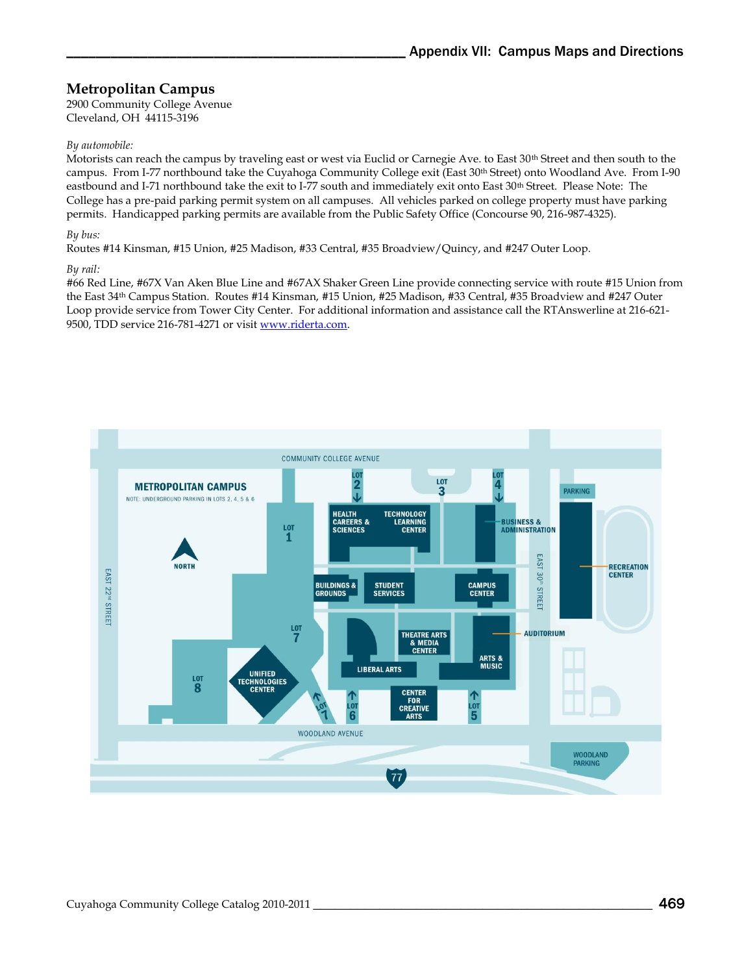# **Metropolitan Campus**

2900 Community College Avenue Cleveland, OH 44115-3196

#### *By automobile:*

Motorists can reach the campus by traveling east or west via Euclid or Carnegie Ave. to East 30th Street and then south to the campus. From I-77 northbound take the Cuyahoga Community College exit (East 30th Street) onto Woodland Ave. From I-90 eastbound and I-71 northbound take the exit to I-77 south and immediately exit onto East 30th Street. Please Note: The College has a pre-paid parking permit system on all campuses. All vehicles parked on college property must have parking permits. Handicapped parking permits are available from the Public Safety Office (Concourse 90, 216-987-4325).

#### *By bus:*

Routes #14 Kinsman, #15 Union, #25 Madison, #33 Central, #35 Broadview/Quincy, and #247 Outer Loop.

#### *By rail:*

#66 Red Line, #67X Van Aken Blue Line and #67AX Shaker Green Line provide connecting service with route #15 Union from the East 34th Campus Station. Routes #14 Kinsman, #15 Union, #25 Madison, #33 Central, #35 Broadview and #247 Outer Loop provide service from Tower City Center. For additional information and assistance call the RTAnswerline at 216-621- 9500, TDD service 216-781-4271 or visi[t www.riderta.com.](http://www.riderta.com/)

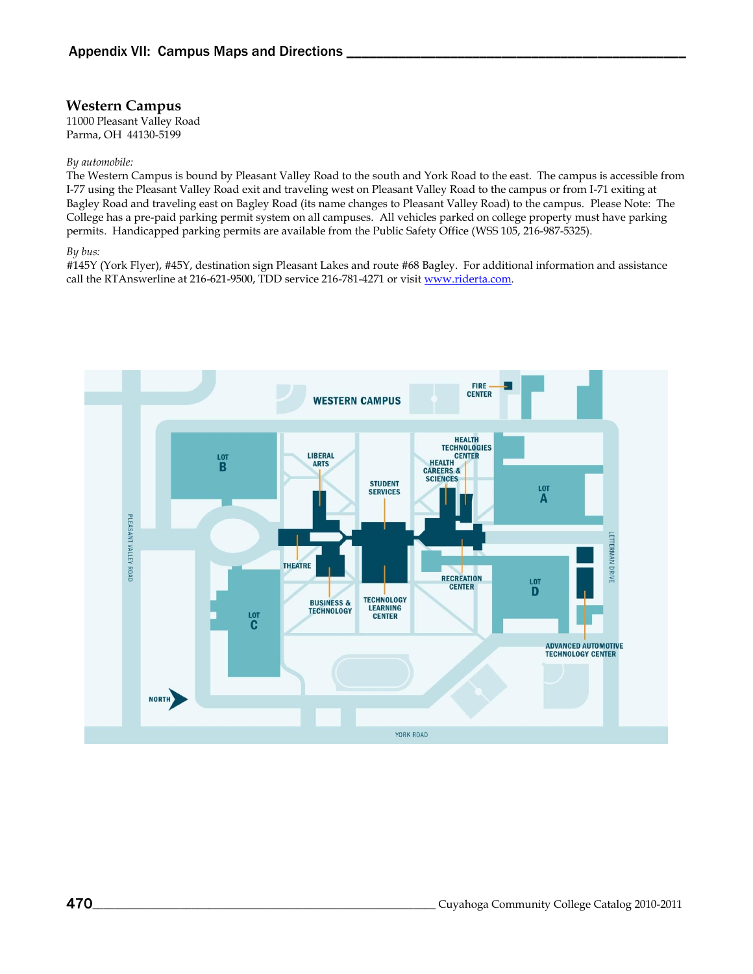### **Western Campus**

11000 Pleasant Valley Road Parma, OH 44130-5199

#### *By automobile:*

The Western Campus is bound by Pleasant Valley Road to the south and York Road to the east. The campus is accessible from I-77 using the Pleasant Valley Road exit and traveling west on Pleasant Valley Road to the campus or from I-71 exiting at Bagley Road and traveling east on Bagley Road (its name changes to Pleasant Valley Road) to the campus. Please Note: The College has a pre-paid parking permit system on all campuses. All vehicles parked on college property must have parking permits. Handicapped parking permits are available from the Public Safety Office (WSS 105, 216-987-5325).

#### *By bus:*

#145Y (York Flyer), #45Y, destination sign Pleasant Lakes and route #68 Bagley. For additional information and assistance call the RTAnswerline at 216-621-9500, TDD service 216-781-4271 or visit [www.riderta.com.](http://www.riderta.com/)

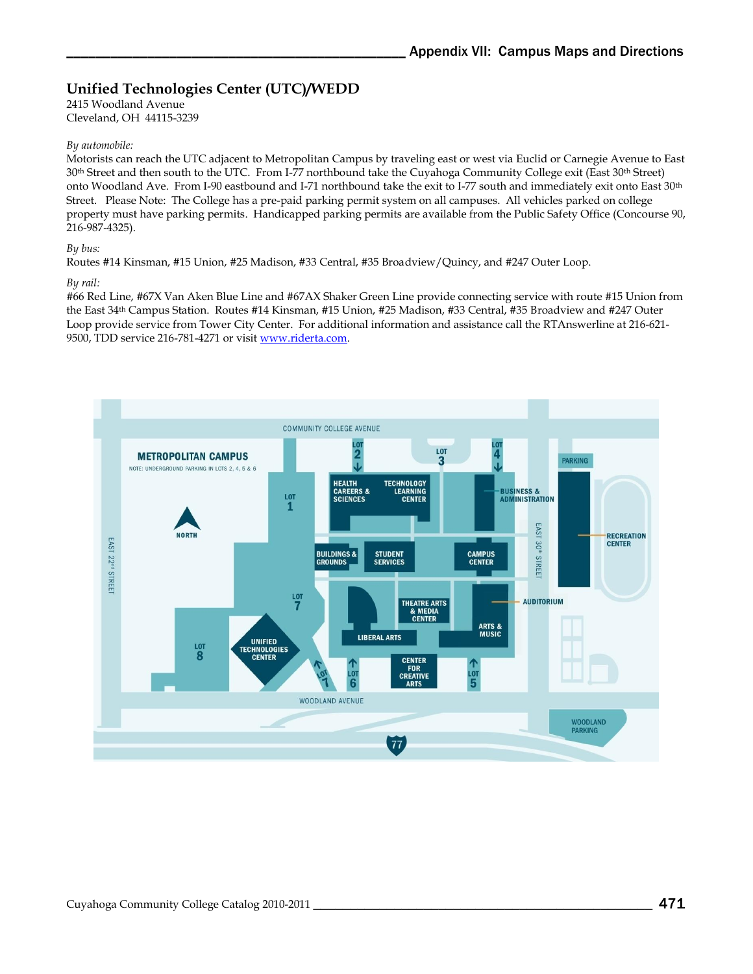# **Unified Technologies Center (UTC)/WEDD**

2415 Woodland Avenue Cleveland, OH 44115-3239

#### *By automobile:*

Motorists can reach the UTC adjacent to Metropolitan Campus by traveling east or west via Euclid or Carnegie Avenue to East 30<sup>th</sup> Street and then south to the UTC. From I-77 northbound take the Cuyahoga Community College exit (East 30<sup>th</sup> Street) onto Woodland Ave. From I-90 eastbound and I-71 northbound take the exit to I-77 south and immediately exit onto East 30th Street. Please Note: The College has a pre-paid parking permit system on all campuses. All vehicles parked on college property must have parking permits. Handicapped parking permits are available from the Public Safety Office (Concourse 90, 216-987-4325).

#### *By bus:*

Routes #14 Kinsman, #15 Union, #25 Madison, #33 Central, #35 Broadview/Quincy, and #247 Outer Loop.

#### *By rail:*

#66 Red Line, #67X Van Aken Blue Line and #67AX Shaker Green Line provide connecting service with route #15 Union from the East 34th Campus Station. Routes #14 Kinsman, #15 Union, #25 Madison, #33 Central, #35 Broadview and #247 Outer Loop provide service from Tower City Center. For additional information and assistance call the RTAnswerline at 216-621- 9500, TDD service 216-781-4271 or visi[t www.riderta.com.](http://www.riderta.com/)

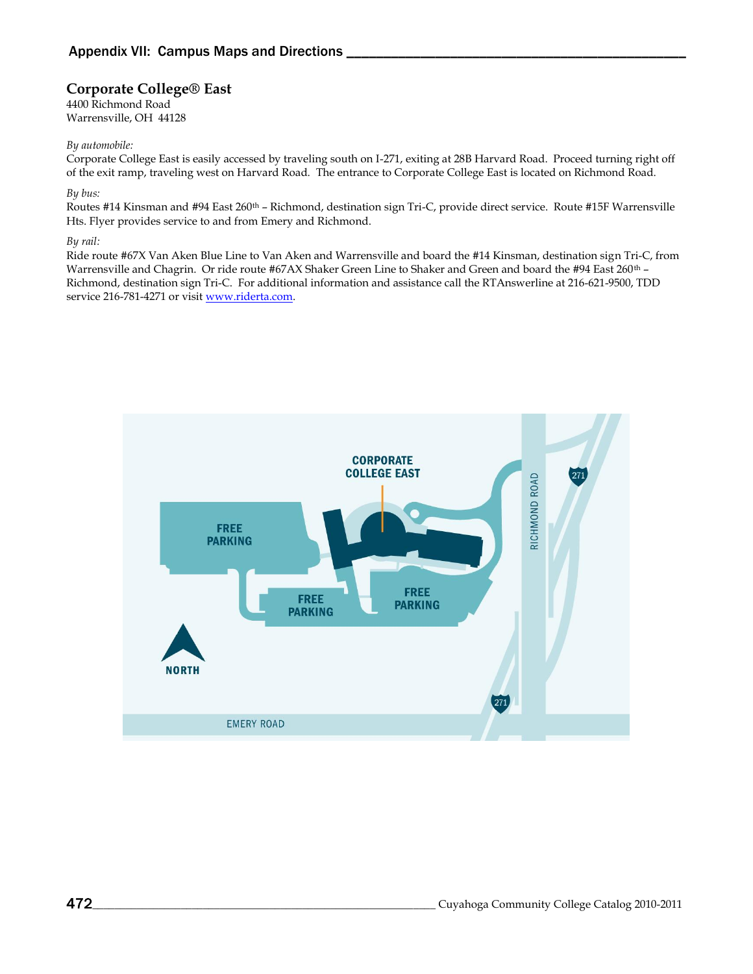## **Corporate College® East**

4400 Richmond Road Warrensville, OH 44128

#### *By automobile:*

Corporate College East is easily accessed by traveling south on I-271, exiting at 28B Harvard Road. Proceed turning right off of the exit ramp, traveling west on Harvard Road. The entrance to Corporate College East is located on Richmond Road.

#### *By bus:*

Routes #14 Kinsman and #94 East 260<sup>th</sup> – Richmond, destination sign Tri-C, provide direct service. Route #15F Warrensville Hts. Flyer provides service to and from Emery and Richmond.

#### *By rail:*

Ride route #67X Van Aken Blue Line to Van Aken and Warrensville and board the #14 Kinsman, destination sign Tri-C, from Warrensville and Chagrin. Or ride route #67AX Shaker Green Line to Shaker and Green and board the #94 East 260<sup>th</sup> -Richmond, destination sign Tri-C. For additional information and assistance call the RTAnswerline at 216-621-9500, TDD service 216-781-4271 or visi[t www.riderta.com.](http://www.riderta.com/)